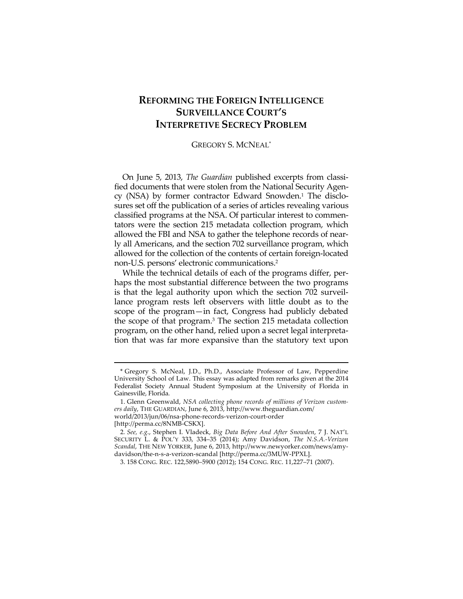# **REFORMING THE FOREIGN INTELLIGENCE SURVEILLANCE COURT'S INTERPRETIVE SECRECY PROBLEM**

### GREGORY S. MCNEAL\*

On June 5, 2013, *The Guardian* published excerpts from classified documents that were stolen from the National Security Agency (NSA) by former contractor Edward Snowden.1 The disclosures set off the publication of a series of articles revealing various classified programs at the NSA. Of particular interest to commentators were the section 215 metadata collection program, which allowed the FBI and NSA to gather the telephone records of nearly all Americans, and the section 702 surveillance program, which allowed for the collection of the contents of certain foreign-located non-U.S. persons' electronic communications.2

While the technical details of each of the programs differ, perhaps the most substantial difference between the two programs is that the legal authority upon which the section 702 surveillance program rests left observers with little doubt as to the scope of the program—in fact, Congress had publicly debated the scope of that program.3 The section 215 metadata collection program, on the other hand, relied upon a secret legal interpretation that was far more expansive than the statutory text upon

 <sup>\*</sup> Gregory S. McNeal, J.D., Ph.D., Associate Professor of Law, Pepperdine University School of Law. This essay was adapted from remarks given at the 2014 Federalist Society Annual Student Symposium at the University of Florida in Gainesville, Florida.

 <sup>1.</sup> Glenn Greenwald, *NSA collecting phone records of millions of Verizon customers daily*, THE GUARDIAN, June 6, 2013, http://www.theguardian.com/ world/2013/jun/06/nsa-phone-records-verizon-court-order [http://perma.cc/8NMB-CSKX].

<sup>2</sup>*. See, e.g*., Stephen I. Vladeck, *Big Data Before And After Snowden*, 7 J. NAT'L SECURITY L. & POL'Y 333, 334–35 (2014); Amy Davidson, *The N.S.A.-Verizon Scandal*, THE NEW YORKER, June 6, 2013, http://www.newyorker.com/news/amydavidson/the-n-s-a-verizon-scandal [http://perma.cc/3MUW-PPXL].

 <sup>3. 158</sup> CONG. REC. 122,5890–5900 (2012); 154 CONG. REC. 11,227–71 (2007).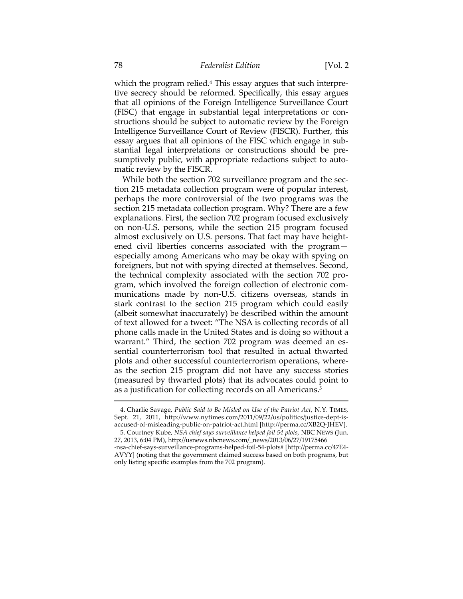which the program relied.<sup>4</sup> This essay argues that such interpretive secrecy should be reformed. Specifically, this essay argues that all opinions of the Foreign Intelligence Surveillance Court (FISC) that engage in substantial legal interpretations or constructions should be subject to automatic review by the Foreign Intelligence Surveillance Court of Review (FISCR). Further, this essay argues that all opinions of the FISC which engage in substantial legal interpretations or constructions should be presumptively public, with appropriate redactions subject to automatic review by the FISCR.

While both the section 702 surveillance program and the section 215 metadata collection program were of popular interest, perhaps the more controversial of the two programs was the section 215 metadata collection program. Why? There are a few explanations. First, the section 702 program focused exclusively on non-U.S. persons, while the section 215 program focused almost exclusively on U.S. persons. That fact may have heightened civil liberties concerns associated with the program especially among Americans who may be okay with spying on foreigners, but not with spying directed at themselves. Second, the technical complexity associated with the section 702 program, which involved the foreign collection of electronic communications made by non-U.S. citizens overseas, stands in stark contrast to the section 215 program which could easily (albeit somewhat inaccurately) be described within the amount of text allowed for a tweet: "The NSA is collecting records of all phone calls made in the United States and is doing so without a warrant." Third, the section 702 program was deemed an essential counterterrorism tool that resulted in actual thwarted plots and other successful counterterrorism operations, whereas the section 215 program did not have any success stories (measured by thwarted plots) that its advocates could point to as a justification for collecting records on all Americans.<sup>5</sup>

 <sup>4.</sup> Charlie Savage, *Public Said to Be Misled on Use of the Patriot Act*, N.Y. TIMES, Sept. 21, 2011, http://www.nytimes.com/2011/09/22/us/politics/justice-dept-isaccused-of-misleading-public-on-patriot-act.html [http://perma.cc/XB2Q-JHEV].

 <sup>5.</sup> Courtney Kube, *NSA chief says surveillance helped foil 54 plots*, NBC NEWS (Jun. 27, 2013, 6:04 PM), http://usnews.nbcnews.com/\_news/2013/06/27/19175466 -nsa-chief-says-surveillance-programs-helped-foil-54-plots# [http://perma.cc/47E4- AVYY] (noting that the government claimed success based on both programs, but

only listing specific examples from the 702 program).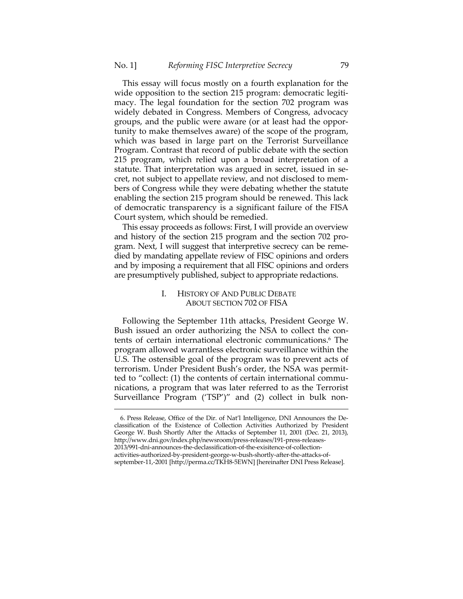This essay will focus mostly on a fourth explanation for the wide opposition to the section 215 program: democratic legitimacy. The legal foundation for the section 702 program was widely debated in Congress. Members of Congress, advocacy groups, and the public were aware (or at least had the opportunity to make themselves aware) of the scope of the program, which was based in large part on the Terrorist Surveillance Program. Contrast that record of public debate with the section 215 program, which relied upon a broad interpretation of a statute. That interpretation was argued in secret, issued in secret, not subject to appellate review, and not disclosed to members of Congress while they were debating whether the statute enabling the section 215 program should be renewed. This lack of democratic transparency is a significant failure of the FISA Court system, which should be remedied.

This essay proceeds as follows: First, I will provide an overview and history of the section 215 program and the section 702 program. Next, I will suggest that interpretive secrecy can be remedied by mandating appellate review of FISC opinions and orders and by imposing a requirement that all FISC opinions and orders are presumptively published, subject to appropriate redactions.

### I. HISTORY OF AND PUBLIC DEBATE ABOUT SECTION 702 OF FISA

Following the September 11th attacks, President George W. Bush issued an order authorizing the NSA to collect the contents of certain international electronic communications.6 The program allowed warrantless electronic surveillance within the U.S. The ostensible goal of the program was to prevent acts of terrorism. Under President Bush's order, the NSA was permitted to "collect: (1) the contents of certain international communications, a program that was later referred to as the Terrorist Surveillance Program ('TSP')" and (2) collect in bulk non-

 <sup>6.</sup> Press Release, Office of the Dir. of Nat'l Intelligence, DNI Announces the Declassification of the Existence of Collection Activities Authorized by President George W. Bush Shortly After the Attacks of September 11, 2001 (Dec. 21, 2013), http://www.dni.gov/index.php/newsroom/press-releases/191-press-releases-2013/991-dni-announces-the-declassification-of-the-exisitence-of-collectionactivities-authorized-by-president-george-w-bush-shortly-after-the-attacks-ofseptember-11,-2001 [http://perma.cc/TKH8-5EWN] [hereinafter DNI Press Release].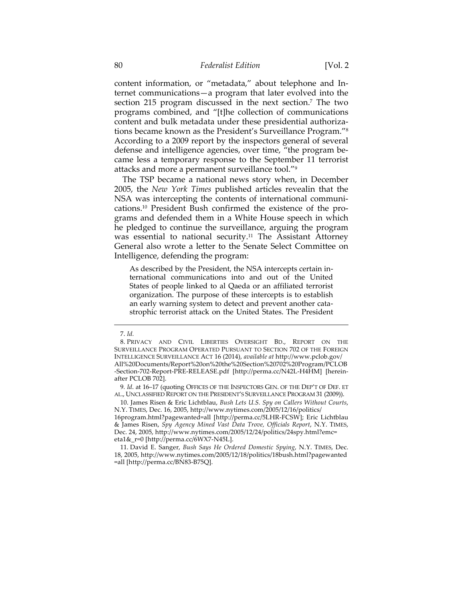content information, or "metadata," about telephone and Internet communications—a program that later evolved into the section 215 program discussed in the next section.7 The two programs combined, and "[t]he collection of communications content and bulk metadata under these presidential authorizations became known as the President's Surveillance Program."8 According to a 2009 report by the inspectors general of several defense and intelligence agencies, over time, "the program became less a temporary response to the September 11 terrorist attacks and more a permanent surveillance tool."9

The TSP became a national news story when, in December 2005, the *New York Times* published articles revealin that the NSA was intercepting the contents of international communications.10 President Bush confirmed the existence of the programs and defended them in a White House speech in which he pledged to continue the surveillance, arguing the program was essential to national security.11 The Assistant Attorney General also wrote a letter to the Senate Select Committee on Intelligence, defending the program:

As described by the President, the NSA intercepts certain international communications into and out of the United States of people linked to al Qaeda or an affiliated terrorist organization. The purpose of these intercepts is to establish an early warning system to detect and prevent another catastrophic terrorist attack on the United States. The President

l

 10. James Risen & Eric Lichtblau, *Bush Lets U.S. Spy on Callers Without Courts*, N.Y. TIMES, Dec. 16, 2005, http://www.nytimes.com/2005/12/16/politics/

16program.html?pagewanted=all [http://perma.cc/5LHR-FCSW]; Eric Lichtblau & James Risen, *Spy Agency Mined Vast Data Trove, Officials Report*, N.Y. TIMES, Dec. 24, 2005, http://www.nytimes.com/2005/12/24/politics/24spy.html?emc= eta1&\_r=0 [http://perma.cc/6WX7-N45L].

 11. David E. Sanger, *Bush Says He Ordered Domestic Spying*, N.Y. TIMES, Dec. 18, 2005, http://www.nytimes.com/2005/12/18/politics/18bush.html?pagewanted =all [http://perma.cc/BN83-B75Q].

 <sup>7.</sup> *Id.*

 <sup>8.</sup> PRIVACY AND CIVIL LIBERTIES OVERSIGHT BD., REPORT ON THE SURVEILLANCE PROGRAM OPERATED PURSUANT TO SECTION 702 OF THE FOREIGN INTELLIGENCE SURVEILLANCE ACT 16 (2014), *available at* http://www.pclob.gov/ All%20Documents/Report%20on%20the%20Section%20702%20Program/PCLOB -Section-702-Report-PRE-RELEASE.pdf [http://perma.cc/N42L-H4HM] [hereinafter PCLOB 702].

<sup>9</sup>*. Id*. at 16–17 (quoting OFFICES OF THE INSPECTORS GEN. OF THE DEP'T OF DEF. ET AL., UNCLASSIFIED REPORT ON THE PRESIDENT'S SURVEILLANCE PROGRAM 31 (2009)).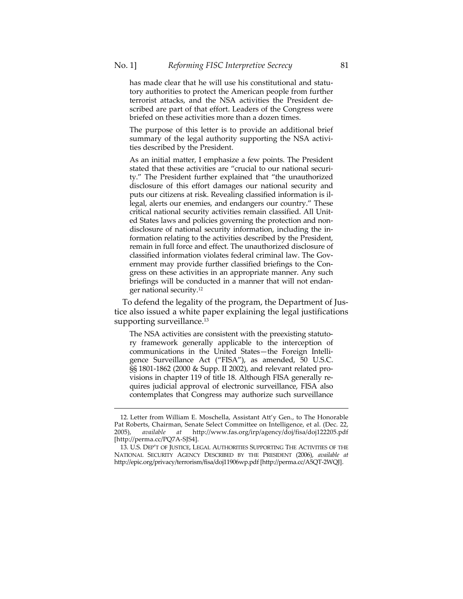has made clear that he will use his constitutional and statutory authorities to protect the American people from further terrorist attacks, and the NSA activities the President described are part of that effort. Leaders of the Congress were briefed on these activities more than a dozen times.

The purpose of this letter is to provide an additional brief summary of the legal authority supporting the NSA activities described by the President.

As an initial matter, I emphasize a few points. The President stated that these activities are "crucial to our national security." The President further explained that "the unauthorized disclosure of this effort damages our national security and puts our citizens at risk. Revealing classified information is illegal, alerts our enemies, and endangers our country." These critical national security activities remain classified. All United States laws and policies governing the protection and nondisclosure of national security information, including the information relating to the activities described by the President, remain in full force and effect. The unauthorized disclosure of classified information violates federal criminal law. The Government may provide further classified briefings to the Congress on these activities in an appropriate manner. Any such briefings will be conducted in a manner that will not endanger national security.12

To defend the legality of the program, the Department of Justice also issued a white paper explaining the legal justifications supporting surveillance.<sup>13</sup>

The NSA activities are consistent with the preexisting statutory framework generally applicable to the interception of communications in the United States—the Foreign Intelligence Surveillance Act ("FISA"), as amended, 50 U.S.C. §§ 1801-1862 (2000 & Supp. II 2002), and relevant related provisions in chapter 119 of title 18. Although FISA generally requires judicial approval of electronic surveillance, FISA also contemplates that Congress may authorize such surveillance

 <sup>12.</sup> Letter from William E. Moschella, Assistant Att'y Gen., to The Honorable Pat Roberts, Chairman, Senate Select Committee on Intelligence, et al. (Dec. 22, 2005), available at http://www.fas.org/irp/agency/doj/fisa/doj122205.pdf 2005), *available at* http://www.fas.org/irp/agency/doj/fisa/doj122205.pdf [http://perma.cc/PQ7A-SJS4].

 <sup>13.</sup> U.S. DEP'T OF JUSTICE, LEGAL AUTHORITIES SUPPORTING THE ACTIVITIES OF THE NATIONAL SECURITY AGENCY DESCRIBED BY THE PRESIDENT (2006), *available at* http://epic.org/privacy/terrorism/fisa/doj11906wp.pdf [http://perma.cc/A5QT-2WQJ].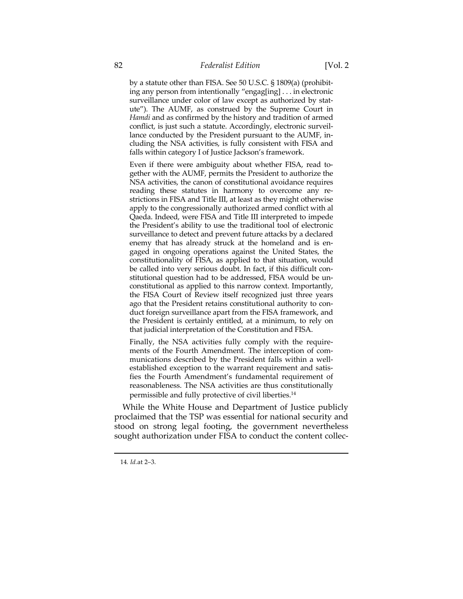by a statute other than FISA. See 50 U.S.C. § 1809(a) (prohibiting any person from intentionally "engag[ing] . . . in electronic surveillance under color of law except as authorized by statute"). The AUMF, as construed by the Supreme Court in *Hamdi* and as confirmed by the history and tradition of armed conflict, is just such a statute. Accordingly, electronic surveillance conducted by the President pursuant to the AUMF, including the NSA activities, is fully consistent with FISA and falls within category I of Justice Jackson's framework.

Even if there were ambiguity about whether FISA, read together with the AUMF, permits the President to authorize the NSA activities, the canon of constitutional avoidance requires reading these statutes in harmony to overcome any restrictions in FISA and Title III, at least as they might otherwise apply to the congressionally authorized armed conflict with al Qaeda. Indeed, were FISA and Title III interpreted to impede the President's ability to use the traditional tool of electronic surveillance to detect and prevent future attacks by a declared enemy that has already struck at the homeland and is engaged in ongoing operations against the United States, the constitutionality of FISA, as applied to that situation, would be called into very serious doubt. In fact, if this difficult constitutional question had to be addressed, FISA would be unconstitutional as applied to this narrow context. Importantly, the FISA Court of Review itself recognized just three years ago that the President retains constitutional authority to conduct foreign surveillance apart from the FISA framework, and the President is certainly entitled, at a minimum, to rely on that judicial interpretation of the Constitution and FISA.

Finally, the NSA activities fully comply with the requirements of the Fourth Amendment. The interception of communications described by the President falls within a wellestablished exception to the warrant requirement and satisfies the Fourth Amendment's fundamental requirement of reasonableness. The NSA activities are thus constitutionally permissible and fully protective of civil liberties.14

While the White House and Department of Justice publicly proclaimed that the TSP was essential for national security and stood on strong legal footing, the government nevertheless sought authorization under FISA to conduct the content collec-

<sup>14</sup>*. Id.*at 2–3.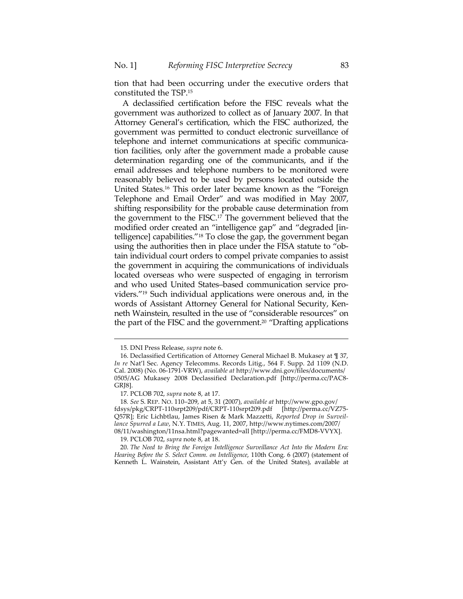tion that had been occurring under the executive orders that constituted the TSP.15

A declassified certification before the FISC reveals what the government was authorized to collect as of January 2007. In that Attorney General's certification, which the FISC authorized, the government was permitted to conduct electronic surveillance of telephone and internet communications at specific communication facilities, only after the government made a probable cause determination regarding one of the communicants, and if the email addresses and telephone numbers to be monitored were reasonably believed to be used by persons located outside the United States.16 This order later became known as the "Foreign Telephone and Email Order" and was modified in May 2007, shifting responsibility for the probable cause determination from the government to the FISC.17 The government believed that the modified order created an "intelligence gap" and "degraded [intelligence] capabilities."18 To close the gap, the government began using the authorities then in place under the FISA statute to "obtain individual court orders to compel private companies to assist the government in acquiring the communications of individuals located overseas who were suspected of engaging in terrorism and who used United States–based communication service providers."19 Such individual applications were onerous and, in the words of Assistant Attorney General for National Security, Kenneth Wainstein, resulted in the use of "considerable resources" on the part of the FISC and the government.20 "Drafting applications

l

19. PCLOB 702, *supra* note 8, at 18.

 20. *The Need to Bring the Foreign Intelligence Surveillance Act Into the Modern Era: Hearing Before the S. Select Comm. on Intelligence*, 110th Cong. 6 (2007) (statement of Kenneth L. Wainstein, Assistant Att'y Gen. of the United States), available at

 <sup>15.</sup> DNI Press Release, *supra* note 6.

 <sup>16.</sup> Declassified Certification of Attorney General Michael B. Mukasey at ¶ 37, *In re* Nat'l Sec. Agency Telecomms. Records Litig., 564 F. Supp. 2d 1109 (N.D. Cal. 2008) (No. 06-1791-VRW), *available at* http://www.dni.gov/files/documents/ 0505/AG Mukasey 2008 Declassified Declaration.pdf [http://perma.cc/PAC8- GRJ8].

 <sup>17.</sup> PCLOB 702, *supra* note 8, at 17.

<sup>18</sup>*. See* S. REP. NO. 110–209, at 5, 31 (2007), *available at* http://www.gpo.gov/ fdsys/pkg/CRPT-110srpt209/pdf/CRPT-110srpt209.pdf [http://perma.cc/VZ75- Q57R]; Eric Lichbtlau, James Risen & Mark Mazzetti, *Reported Drop in Surveillance Spurred a Law*, N.Y. TIMES, Aug. 11, 2007, http://www.nytimes.com/2007/ 08/11/washington/11nsa.html?pagewanted=all [http://perma.cc/FMD8-VVYX].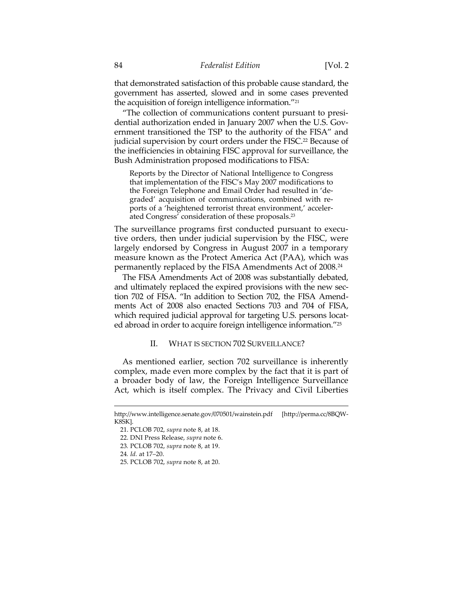that demonstrated satisfaction of this probable cause standard, the government has asserted, slowed and in some cases prevented the acquisition of foreign intelligence information."21

"The collection of communications content pursuant to presidential authorization ended in January 2007 when the U.S. Government transitioned the TSP to the authority of the FISA" and judicial supervision by court orders under the FISC.<sup>22</sup> Because of the inefficiencies in obtaining FISC approval for surveillance, the Bush Administration proposed modifications to FISA:

Reports by the Director of National Intelligence to Congress that implementation of the FISC's May 2007 modifications to the Foreign Telephone and Email Order had resulted in 'degraded' acquisition of communications, combined with reports of a 'heightened terrorist threat environment,' accelerated Congress' consideration of these proposals.23

The surveillance programs first conducted pursuant to executive orders, then under judicial supervision by the FISC, were largely endorsed by Congress in August 2007 in a temporary measure known as the Protect America Act (PAA), which was permanently replaced by the FISA Amendments Act of 2008.24

The FISA Amendments Act of 2008 was substantially debated, and ultimately replaced the expired provisions with the new section 702 of FISA. "In addition to Section 702, the FISA Amendments Act of 2008 also enacted Sections 703 and 704 of FISA, which required judicial approval for targeting U.S. persons located abroad in order to acquire foreign intelligence information."25

### II. WHAT IS SECTION 702 SURVEILLANCE?

As mentioned earlier, section 702 surveillance is inherently complex, made even more complex by the fact that it is part of a broader body of law, the Foreign Intelligence Surveillance Act, which is itself complex. The Privacy and Civil Liberties

http://www.intelligence.senate.gov/070501/wainstein.pdf [http://perma.cc/8BQW-K8SK].

 <sup>21.</sup> PCLOB 702, *supra* note 8, at 18.

 <sup>22.</sup> DNI Press Release, *supra* note 6.

<sup>23</sup>*.* PCLOB 702, *supra* note 8, at 19.

<sup>24</sup>*. Id.* at 17–20.

 <sup>25.</sup> PCLOB 702, *supra* note 8, at 20.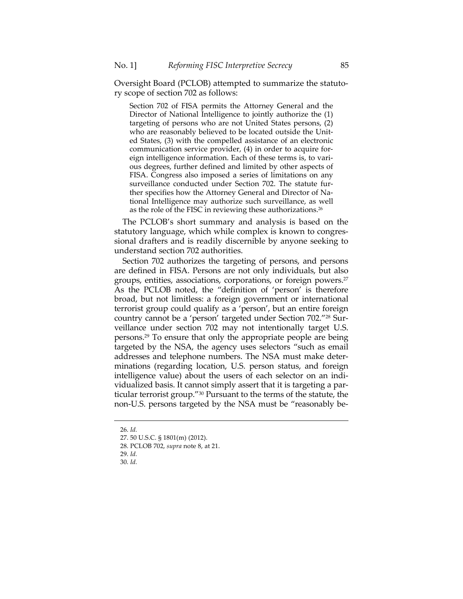Oversight Board (PCLOB) attempted to summarize the statutory scope of section 702 as follows:

Section 702 of FISA permits the Attorney General and the Director of National Intelligence to jointly authorize the (1) targeting of persons who are not United States persons, (2) who are reasonably believed to be located outside the United States, (3) with the compelled assistance of an electronic communication service provider, (4) in order to acquire foreign intelligence information. Each of these terms is, to various degrees, further defined and limited by other aspects of FISA. Congress also imposed a series of limitations on any surveillance conducted under Section 702. The statute further specifies how the Attorney General and Director of National Intelligence may authorize such surveillance, as well as the role of the FISC in reviewing these authorizations.26

The PCLOB's short summary and analysis is based on the statutory language, which while complex is known to congressional drafters and is readily discernible by anyone seeking to understand section 702 authorities.

Section 702 authorizes the targeting of persons, and persons are defined in FISA. Persons are not only individuals, but also groups, entities, associations, corporations, or foreign powers.27 As the PCLOB noted, the "definition of 'person' is therefore broad, but not limitless: a foreign government or international terrorist group could qualify as a 'person', but an entire foreign country cannot be a 'person' targeted under Section 702."28 Surveillance under section 702 may not intentionally target U.S. persons.29 To ensure that only the appropriate people are being targeted by the NSA, the agency uses selectors "such as email addresses and telephone numbers. The NSA must make determinations (regarding location, U.S. person status, and foreign intelligence value) about the users of each selector on an individualized basis. It cannot simply assert that it is targeting a particular terrorist group."30 Pursuant to the terms of the statute, the non-U.S. persons targeted by the NSA must be "reasonably be-

- 29. *Id.*
- 30. *Id.*

 <sup>26.</sup> *Id.*

 <sup>27. 50</sup> U.S.C. § 1801(m) (2012).

 <sup>28.</sup> PCLOB 702, *supra* note 8, at 21.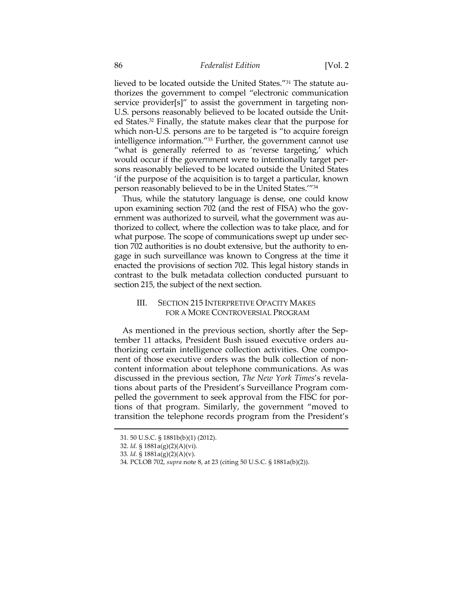lieved to be located outside the United States."31 The statute authorizes the government to compel "electronic communication service provider[s]" to assist the government in targeting non-U.S. persons reasonably believed to be located outside the United States.32 Finally, the statute makes clear that the purpose for which non-U.S. persons are to be targeted is "to acquire foreign intelligence information."33 Further, the government cannot use "what is generally referred to as 'reverse targeting,' which would occur if the government were to intentionally target persons reasonably believed to be located outside the United States 'if the purpose of the acquisition is to target a particular, known person reasonably believed to be in the United States.'"34

Thus, while the statutory language is dense, one could know upon examining section 702 (and the rest of FISA) who the government was authorized to surveil, what the government was authorized to collect, where the collection was to take place, and for what purpose. The scope of communications swept up under section 702 authorities is no doubt extensive, but the authority to engage in such surveillance was known to Congress at the time it enacted the provisions of section 702. This legal history stands in contrast to the bulk metadata collection conducted pursuant to section 215, the subject of the next section.

### III. SECTION 215 INTERPRETIVE OPACITY MAKES FOR A MORE CONTROVERSIAL PROGRAM

As mentioned in the previous section, shortly after the September 11 attacks, President Bush issued executive orders authorizing certain intelligence collection activities. One component of those executive orders was the bulk collection of noncontent information about telephone communications. As was discussed in the previous section, *The New York Times*'s revelations about parts of the President's Surveillance Program compelled the government to seek approval from the FISC for portions of that program. Similarly, the government "moved to transition the telephone records program from the President's

<sup>31</sup>*.* 50 U.S.C. § 1881b(b)(1) (2012).

 <sup>32.</sup> *Id.* § 1881a(g)(2)(A)(vi).

<sup>33</sup>*. Id.* § 1881a(g)(2)(A)(v).

 <sup>34.</sup> PCLOB 702, *supra* note 8, at 23 (citing 50 U.S.C. § 1881a(b)(2)).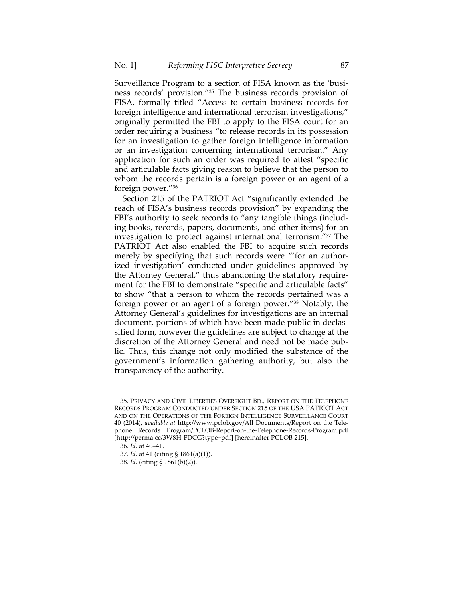Surveillance Program to a section of FISA known as the 'business records' provision."35 The business records provision of FISA, formally titled "Access to certain business records for foreign intelligence and international terrorism investigations," originally permitted the FBI to apply to the FISA court for an order requiring a business "to release records in its possession for an investigation to gather foreign intelligence information or an investigation concerning international terrorism." Any application for such an order was required to attest "specific and articulable facts giving reason to believe that the person to whom the records pertain is a foreign power or an agent of a foreign power."36

Section 215 of the PATRIOT Act "significantly extended the reach of FISA's business records provision" by expanding the FBI's authority to seek records to "any tangible things (including books, records, papers, documents, and other items) for an investigation to protect against international terrorism."37 The PATRIOT Act also enabled the FBI to acquire such records merely by specifying that such records were "'for an authorized investigation' conducted under guidelines approved by the Attorney General," thus abandoning the statutory requirement for the FBI to demonstrate "specific and articulable facts" to show "that a person to whom the records pertained was a foreign power or an agent of a foreign power."38 Notably, the Attorney General's guidelines for investigations are an internal document, portions of which have been made public in declassified form, however the guidelines are subject to change at the discretion of the Attorney General and need not be made public. Thus, this change not only modified the substance of the government's information gathering authority, but also the transparency of the authority.

 <sup>35.</sup> PRIVACY AND CIVIL LIBERTIES OVERSIGHT BD., REPORT ON THE TELEPHONE RECORDS PROGRAM CONDUCTED UNDER SECTION 215 OF THE USA PATRIOT ACT AND ON THE OPERATIONS OF THE FOREIGN INTELLIGENCE SURVEILLANCE COURT 40 (2014), *available at* http://www.pclob.gov/All Documents/Report on the Telephone Records Program/PCLOB-Report-on-the-Telephone-Records-Program.pdf [http://perma.cc/3W8H-FDCG?type=pdf] [hereinafter PCLOB 215].

<sup>36</sup>*. Id.* at 40–41.

<sup>37</sup>*. Id.* at 41 (citing § 1861(a)(1)).

<sup>38</sup>*. Id.* (citing § 1861(b)(2)).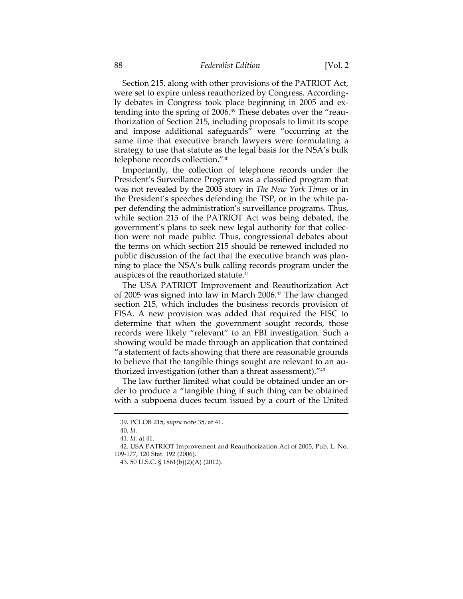Section 215, along with other provisions of the PATRIOT Act, were set to expire unless reauthorized by Congress. Accordingly debates in Congress took place beginning in 2005 and extending into the spring of 2006.39 These debates over the "reauthorization of Section 215, including proposals to limit its scope and impose additional safeguards" were "occurring at the same time that executive branch lawyers were formulating a strategy to use that statute as the legal basis for the NSA's bulk telephone records collection."40

Importantly, the collection of telephone records under the President's Surveillance Program was a classified program that was not revealed by the 2005 story in *The New York Times* or in the President's speeches defending the TSP, or in the white paper defending the administration's surveillance programs. Thus, while section 215 of the PATRIOT Act was being debated, the government's plans to seek new legal authority for that collection were not made public. Thus, congressional debates about the terms on which section 215 should be renewed included no public discussion of the fact that the executive branch was planning to place the NSA's bulk calling records program under the auspices of the reauthorized statute.41

The USA PATRIOT Improvement and Reauthorization Act of 2005 was signed into law in March 2006.42 The law changed section 215, which includes the business records provision of FISA. A new provision was added that required the FISC to determine that when the government sought records, those records were likely "relevant" to an FBI investigation. Such a showing would be made through an application that contained "a statement of facts showing that there are reasonable grounds to believe that the tangible things sought are relevant to an authorized investigation (other than a threat assessment)."43

The law further limited what could be obtained under an order to produce a "tangible thing if such thing can be obtained with a subpoena duces tecum issued by a court of the United

 <sup>39.</sup> PCLOB 215, *supra* note 35, at 41.

 <sup>40.</sup> *Id.*

<sup>41</sup>*. Id.* at 41.

 <sup>42.</sup> USA PATRIOT Improvement and Reauthorization Act of 2005, Pub. L. No. 109-177, 120 Stat. 192 (2006).

 <sup>43. 50</sup> U.S.C. § 1861(b)(2)(A) (2012).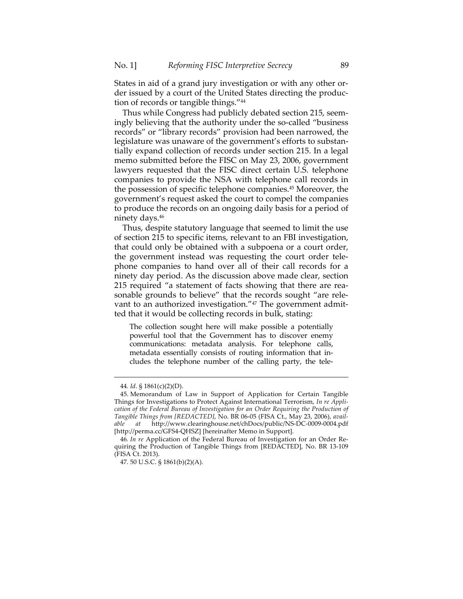States in aid of a grand jury investigation or with any other order issued by a court of the United States directing the production of records or tangible things."44

Thus while Congress had publicly debated section 215, seemingly believing that the authority under the so-called "business records" or "library records" provision had been narrowed, the legislature was unaware of the government's efforts to substantially expand collection of records under section 215. In a legal memo submitted before the FISC on May 23, 2006, government lawyers requested that the FISC direct certain U.S. telephone companies to provide the NSA with telephone call records in the possession of specific telephone companies.45 Moreover, the government's request asked the court to compel the companies to produce the records on an ongoing daily basis for a period of ninety days.46

Thus, despite statutory language that seemed to limit the use of section 215 to specific items, relevant to an FBI investigation, that could only be obtained with a subpoena or a court order, the government instead was requesting the court order telephone companies to hand over all of their call records for a ninety day period. As the discussion above made clear, section 215 required "a statement of facts showing that there are reasonable grounds to believe" that the records sought "are relevant to an authorized investigation."<sup>47</sup> The government admitted that it would be collecting records in bulk, stating:

The collection sought here will make possible a potentially powerful tool that the Government has to discover enemy communications: metadata analysis. For telephone calls, metadata essentially consists of routing information that includes the telephone number of the calling party, the tele-

<sup>44</sup>*. Id*. § 1861(c)(2)(D).

 <sup>45.</sup> Memorandum of Law in Support of Application for Certain Tangible Things for Investigations to Protect Against International Terrorism, *In re Application of the Federal Bureau of Investigation for an Order Requiring the Production of Tangible Things from [REDACTED]*, No. BR 06-05 (FISA Ct., May 23, 2006), *available at* http://www.clearinghouse.net/chDocs/public/NS-DC-0009-0004.pdf [http://perma.cc/GFS4-QHSZ] [hereinafter Memo in Support].

<sup>46</sup>*. In re* Application of the Federal Bureau of Investigation for an Order Requiring the Production of Tangible Things from [REDACTED], No. BR 13-109 (FISA Ct. 2013).

 <sup>47. 50</sup> U.S.C. § 1861(b)(2)(A).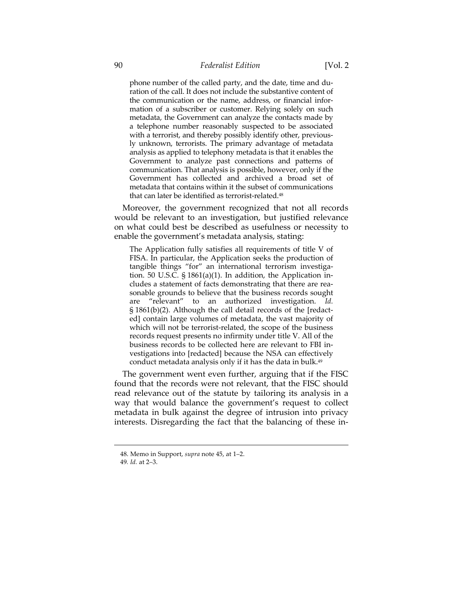phone number of the called party, and the date, time and duration of the call. It does not include the substantive content of the communication or the name, address, or financial infor-

mation of a subscriber or customer. Relying solely on such metadata, the Government can analyze the contacts made by a telephone number reasonably suspected to be associated with a terrorist, and thereby possibly identify other, previously unknown, terrorists. The primary advantage of metadata analysis as applied to telephony metadata is that it enables the Government to analyze past connections and patterns of communication. That analysis is possible, however, only if the Government has collected and archived a broad set of metadata that contains within it the subset of communications that can later be identified as terrorist-related.48

Moreover, the government recognized that not all records would be relevant to an investigation, but justified relevance on what could best be described as usefulness or necessity to enable the government's metadata analysis, stating:

The Application fully satisfies all requirements of title V of FISA. In particular, the Application seeks the production of tangible things "for" an international terrorism investigation. 50 U.S.C. § 1861(a)(1). In addition, the Application includes a statement of facts demonstrating that there are reasonable grounds to believe that the business records sought are "relevant" to an authorized investigation. *Id.* § 1861(b)(2). Although the call detail records of the [redacted] contain large volumes of metadata, the vast majority of which will not be terrorist-related, the scope of the business records request presents no infirmity under title V. All of the business records to be collected here are relevant to FBI investigations into [redacted] because the NSA can effectively conduct metadata analysis only if it has the data in bulk.49

The government went even further, arguing that if the FISC found that the records were not relevant, that the FISC should read relevance out of the statute by tailoring its analysis in a way that would balance the government's request to collect metadata in bulk against the degree of intrusion into privacy interests. Disregarding the fact that the balancing of these in-

 <sup>48.</sup> Memo in Support, *supra* note 45, at 1–2.

<sup>49</sup>*. Id.* at 2–3.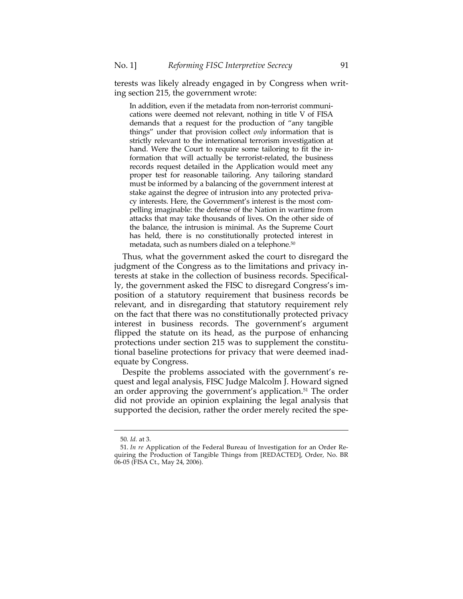terests was likely already engaged in by Congress when writing section 215, the government wrote:

In addition, even if the metadata from non-terrorist communications were deemed not relevant, nothing in title V of FISA demands that a request for the production of "any tangible things" under that provision collect *only* information that is strictly relevant to the international terrorism investigation at hand. Were the Court to require some tailoring to fit the information that will actually be terrorist-related, the business records request detailed in the Application would meet any proper test for reasonable tailoring. Any tailoring standard must be informed by a balancing of the government interest at stake against the degree of intrusion into any protected privacy interests. Here, the Government's interest is the most compelling imaginable: the defense of the Nation in wartime from attacks that may take thousands of lives. On the other side of the balance, the intrusion is minimal. As the Supreme Court has held, there is no constitutionally protected interest in metadata, such as numbers dialed on a telephone.50

Thus, what the government asked the court to disregard the judgment of the Congress as to the limitations and privacy interests at stake in the collection of business records. Specifically, the government asked the FISC to disregard Congress's imposition of a statutory requirement that business records be relevant, and in disregarding that statutory requirement rely on the fact that there was no constitutionally protected privacy interest in business records. The government's argument flipped the statute on its head, as the purpose of enhancing protections under section 215 was to supplement the constitutional baseline protections for privacy that were deemed inadequate by Congress.

Despite the problems associated with the government's request and legal analysis, FISC Judge Malcolm J. Howard signed an order approving the government's application.<sup>51</sup> The order did not provide an opinion explaining the legal analysis that supported the decision, rather the order merely recited the spe-

<sup>50</sup>*. Id.* at 3.

 <sup>51.</sup> *In re* Application of the Federal Bureau of Investigation for an Order Requiring the Production of Tangible Things from [REDACTED], Order, No. BR 06-05 (FISA Ct., May 24, 2006).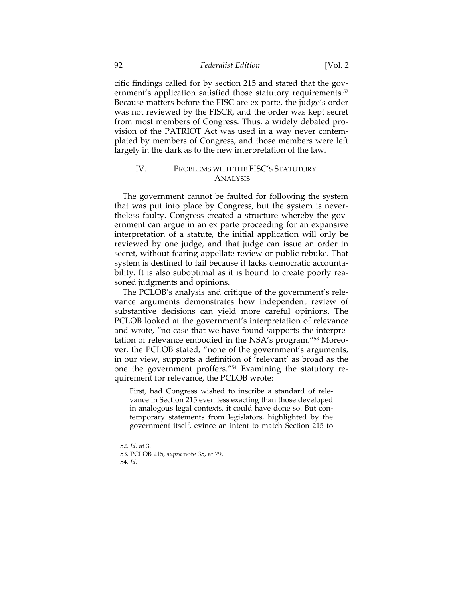cific findings called for by section 215 and stated that the government's application satisfied those statutory requirements.<sup>52</sup> Because matters before the FISC are ex parte, the judge's order was not reviewed by the FISCR, and the order was kept secret from most members of Congress. Thus, a widely debated provision of the PATRIOT Act was used in a way never contemplated by members of Congress, and those members were left largely in the dark as to the new interpretation of the law.

## IV. PROBLEMS WITH THE FISC'S STATUTORY ANALYSIS

The government cannot be faulted for following the system that was put into place by Congress, but the system is nevertheless faulty. Congress created a structure whereby the government can argue in an ex parte proceeding for an expansive interpretation of a statute, the initial application will only be reviewed by one judge, and that judge can issue an order in secret, without fearing appellate review or public rebuke. That system is destined to fail because it lacks democratic accountability. It is also suboptimal as it is bound to create poorly reasoned judgments and opinions.

The PCLOB's analysis and critique of the government's relevance arguments demonstrates how independent review of substantive decisions can yield more careful opinions. The PCLOB looked at the government's interpretation of relevance and wrote, "no case that we have found supports the interpretation of relevance embodied in the NSA's program."53 Moreover, the PCLOB stated, "none of the government's arguments, in our view, supports a definition of 'relevant' as broad as the one the government proffers."54 Examining the statutory requirement for relevance, the PCLOB wrote:

First, had Congress wished to inscribe a standard of relevance in Section 215 even less exacting than those developed in analogous legal contexts, it could have done so. But contemporary statements from legislators, highlighted by the government itself, evince an intent to match Section 215 to

<sup>52</sup>*. Id*. at 3.

 <sup>53.</sup> PCLOB 215, *supra* note 35, at 79.

 <sup>54.</sup> *Id.*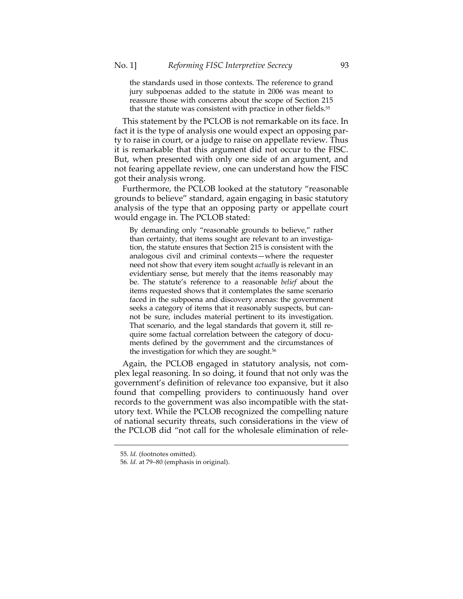the standards used in those contexts. The reference to grand jury subpoenas added to the statute in 2006 was meant to reassure those with concerns about the scope of Section 215 that the statute was consistent with practice in other fields.<sup>55</sup>

This statement by the PCLOB is not remarkable on its face. In fact it is the type of analysis one would expect an opposing party to raise in court, or a judge to raise on appellate review. Thus it is remarkable that this argument did not occur to the FISC. But, when presented with only one side of an argument, and not fearing appellate review, one can understand how the FISC got their analysis wrong.

Furthermore, the PCLOB looked at the statutory "reasonable grounds to believe" standard, again engaging in basic statutory analysis of the type that an opposing party or appellate court would engage in. The PCLOB stated:

By demanding only "reasonable grounds to believe," rather than certainty, that items sought are relevant to an investigation, the statute ensures that Section 215 is consistent with the analogous civil and criminal contexts—where the requester need not show that every item sought *actually* is relevant in an evidentiary sense, but merely that the items reasonably may be. The statute's reference to a reasonable *belief* about the items requested shows that it contemplates the same scenario faced in the subpoena and discovery arenas: the government seeks a category of items that it reasonably suspects, but cannot be sure, includes material pertinent to its investigation. That scenario, and the legal standards that govern it, still require some factual correlation between the category of documents defined by the government and the circumstances of the investigation for which they are sought.<sup>56</sup>

Again, the PCLOB engaged in statutory analysis, not complex legal reasoning. In so doing, it found that not only was the government's definition of relevance too expansive, but it also found that compelling providers to continuously hand over records to the government was also incompatible with the statutory text. While the PCLOB recognized the compelling nature of national security threats, such considerations in the view of the PCLOB did "not call for the wholesale elimination of rele-

 <sup>55.</sup> *Id.* (footnotes omitted).

<sup>56</sup>*. Id.* at 79–80 (emphasis in original).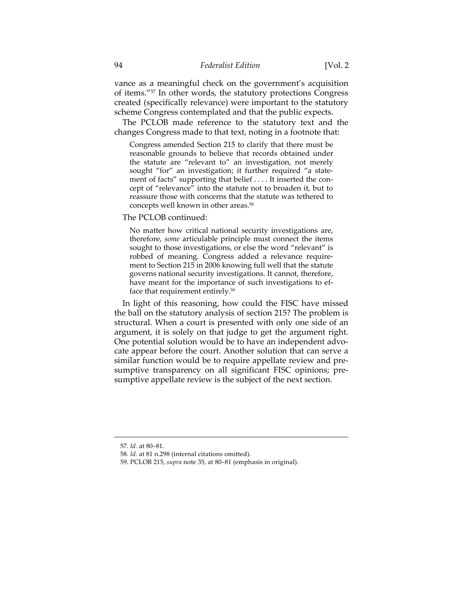vance as a meaningful check on the government's acquisition of items."57 In other words, the statutory protections Congress created (specifically relevance) were important to the statutory scheme Congress contemplated and that the public expects.

The PCLOB made reference to the statutory text and the changes Congress made to that text, noting in a footnote that:

Congress amended Section 215 to clarify that there must be reasonable grounds to believe that records obtained under the statute are "relevant to" an investigation, not merely sought "for" an investigation; it further required "a statement of facts" supporting that belief . . . . It inserted the concept of "relevance" into the statute not to broaden it, but to reassure those with concerns that the statute was tethered to concepts well known in other areas.58

The PCLOB continued:

No matter how critical national security investigations are, therefore, *some* articulable principle must connect the items sought to those investigations, or else the word "relevant" is robbed of meaning. Congress added a relevance requirement to Section 215 in 2006 knowing full well that the statute governs national security investigations. It cannot, therefore, have meant for the importance of such investigations to efface that requirement entirely.59

In light of this reasoning, how could the FISC have missed the ball on the statutory analysis of section 215? The problem is structural. When a court is presented with only one side of an argument, it is solely on that judge to get the argument right. One potential solution would be to have an independent advocate appear before the court. Another solution that can serve a similar function would be to require appellate review and presumptive transparency on all significant FISC opinions; presumptive appellate review is the subject of the next section.

<sup>57</sup>*. Id.* at 80–81.

<sup>58</sup>*. Id.* at 81 n.298 (internal citations omitted).

 <sup>59.</sup> PCLOB 215, *supra* note 35, at 80–81 (emphasis in original).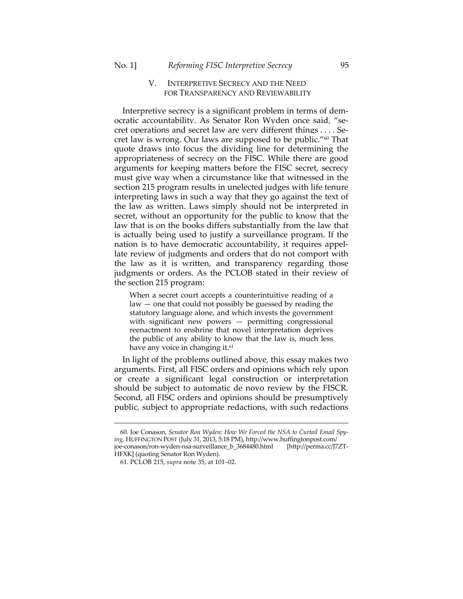### V. INTERPRETIVE SECRECY AND THE NEED FOR TRANSPARENCY AND REVIEWABILITY

Interpretive secrecy is a significant problem in terms of democratic accountability. As Senator Ron Wyden once said, "secret operations and secret law are very different things . . . . Secret law is wrong. Our laws are supposed to be public."60 That quote draws into focus the dividing line for determining the appropriateness of secrecy on the FISC. While there are good arguments for keeping matters before the FISC secret, secrecy must give way when a circumstance like that witnessed in the section 215 program results in unelected judges with life tenure interpreting laws in such a way that they go against the text of the law as written. Laws simply should not be interpreted in secret, without an opportunity for the public to know that the law that is on the books differs substantially from the law that is actually being used to justify a surveillance program. If the nation is to have democratic accountability, it requires appellate review of judgments and orders that do not comport with the law as it is written, and transparency regarding those judgments or orders. As the PCLOB stated in their review of the section 215 program:

When a secret court accepts a counterintuitive reading of a law — one that could not possibly be guessed by reading the statutory language alone, and which invests the government with significant new powers — permitting congressional reenactment to enshrine that novel interpretation deprives the public of any ability to know that the law is, much less have any voice in changing it.<sup>61</sup>

In light of the problems outlined above, this essay makes two arguments. First, all FISC orders and opinions which rely upon or create a significant legal construction or interpretation should be subject to automatic de novo review by the FISCR. Second, all FISC orders and opinions should be presumptively public, subject to appropriate redactions, with such redactions

 <sup>60.</sup> Joe Conason, *Senator Ron Wyden: How We Forced the NSA to Curtail Email Spying,* HUFFINGTON POST (July 31, 2013, 5:18 PM), http://www.huffingtonpost.com/ joe-conason/ron-wyden-nsa-surveillance\_b\_3684480.html [http://perma.cc/J7ZT-HFXK] (quoting Senator Ron Wyden).

 <sup>61.</sup> PCLOB 215, *supra* note 35, at 101–02.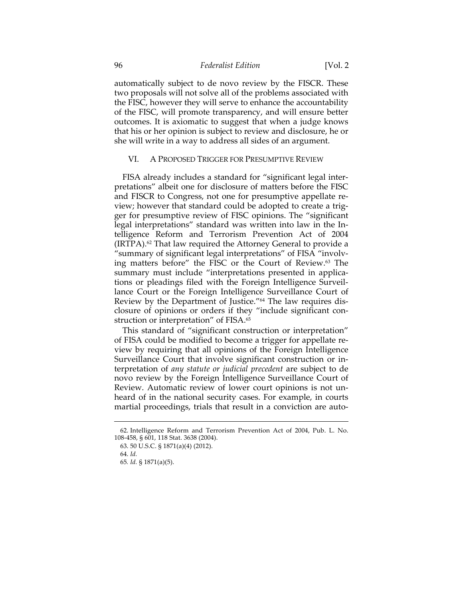### 96 *Federalist Edition* [Vol. 2

automatically subject to de novo review by the FISCR. These two proposals will not solve all of the problems associated with the FISC, however they will serve to enhance the accountability of the FISC, will promote transparency, and will ensure better outcomes. It is axiomatic to suggest that when a judge knows that his or her opinion is subject to review and disclosure, he or she will write in a way to address all sides of an argument.

#### VI. A PROPOSED TRIGGER FOR PRESUMPTIVE REVIEW

FISA already includes a standard for "significant legal interpretations" albeit one for disclosure of matters before the FISC and FISCR to Congress, not one for presumptive appellate review; however that standard could be adopted to create a trigger for presumptive review of FISC opinions. The "significant legal interpretations" standard was written into law in the Intelligence Reform and Terrorism Prevention Act of 2004 (IRTPA).62 That law required the Attorney General to provide a "summary of significant legal interpretations" of FISA "involving matters before" the FISC or the Court of Review.63 The summary must include "interpretations presented in applications or pleadings filed with the Foreign Intelligence Surveillance Court or the Foreign Intelligence Surveillance Court of Review by the Department of Justice."64 The law requires disclosure of opinions or orders if they "include significant construction or interpretation" of FISA.<sup>65</sup>

This standard of "significant construction or interpretation" of FISA could be modified to become a trigger for appellate review by requiring that all opinions of the Foreign Intelligence Surveillance Court that involve significant construction or interpretation of *any statute or judicial precedent* are subject to de novo review by the Foreign Intelligence Surveillance Court of Review. Automatic review of lower court opinions is not unheard of in the national security cases. For example, in courts martial proceedings, trials that result in a conviction are auto-

 <sup>62.</sup> Intelligence Reform and Terrorism Prevention Act of 2004, Pub. L. No. 108-458, § 601, 118 Stat. 3638 (2004).

 <sup>63. 50</sup> U.S.C. § 1871(a)(4) (2012).

 <sup>64.</sup> *Id.*

<sup>65</sup>*. Id.* § 1871(a)(5).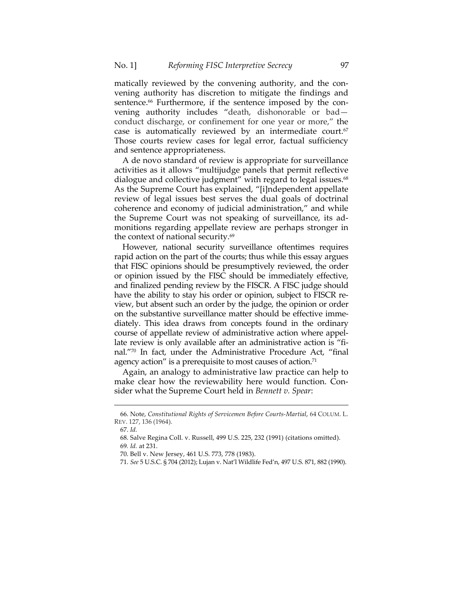matically reviewed by the convening authority, and the convening authority has discretion to mitigate the findings and sentence.<sup>66</sup> Furthermore, if the sentence imposed by the convening authority includes "death, dishonorable or bad conduct discharge, or confinement for one year or more," the case is automatically reviewed by an intermediate court.<sup>67</sup> Those courts review cases for legal error, factual sufficiency and sentence appropriateness.

A de novo standard of review is appropriate for surveillance activities as it allows "multijudge panels that permit reflective dialogue and collective judgment" with regard to legal issues.<sup>68</sup> As the Supreme Court has explained, "[i]ndependent appellate review of legal issues best serves the dual goals of doctrinal coherence and economy of judicial administration," and while the Supreme Court was not speaking of surveillance, its admonitions regarding appellate review are perhaps stronger in the context of national security.<sup>69</sup>

However, national security surveillance oftentimes requires rapid action on the part of the courts; thus while this essay argues that FISC opinions should be presumptively reviewed, the order or opinion issued by the FISC should be immediately effective, and finalized pending review by the FISCR. A FISC judge should have the ability to stay his order or opinion, subject to FISCR review, but absent such an order by the judge, the opinion or order on the substantive surveillance matter should be effective immediately. This idea draws from concepts found in the ordinary course of appellate review of administrative action where appellate review is only available after an administrative action is "final."70 In fact, under the Administrative Procedure Act, "final agency action" is a prerequisite to most causes of action.<sup>71</sup>

Again, an analogy to administrative law practice can help to make clear how the reviewability here would function. Consider what the Supreme Court held in *Bennett v. Spear*:

 <sup>66.</sup> Note, *Constitutional Rights of Servicemen Before Courts-Martial*, 64 COLUM. L. REV. 127, 136 (1964).

 <sup>67.</sup> *Id.*

 <sup>68.</sup> Salve Regina Coll. v. Russell, 499 U.S. 225, 232 (1991) (citations omitted). 69*. Id.* at 231.

 <sup>70.</sup> Bell v. New Jersey, 461 U.S. 773, 778 (1983).

 <sup>71.</sup> *See* 5 U.S.C. § 704 (2012); Lujan v. Nat'l Wildlife Fed'n, 497 U.S. 871, 882 (1990).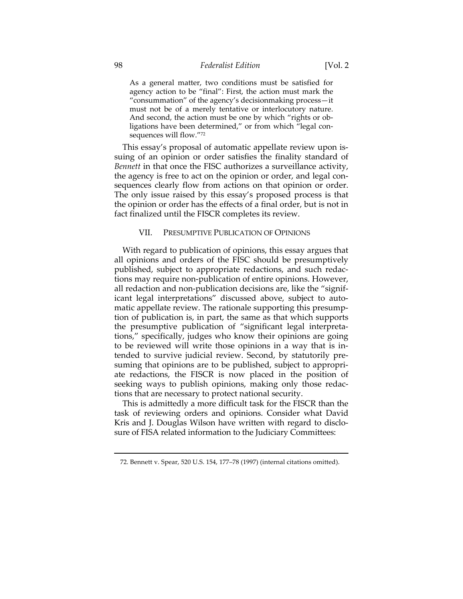As a general matter, two conditions must be satisfied for agency action to be "final": First, the action must mark the "consummation" of the agency's decisionmaking process—it must not be of a merely tentative or interlocutory nature. And second, the action must be one by which "rights or obligations have been determined," or from which "legal consequences will flow."72

This essay's proposal of automatic appellate review upon issuing of an opinion or order satisfies the finality standard of *Bennett* in that once the FISC authorizes a surveillance activity, the agency is free to act on the opinion or order, and legal consequences clearly flow from actions on that opinion or order. The only issue raised by this essay's proposed process is that the opinion or order has the effects of a final order, but is not in fact finalized until the FISCR completes its review.

#### VII. PRESUMPTIVE PUBLICATION OF OPINIONS

With regard to publication of opinions, this essay argues that all opinions and orders of the FISC should be presumptively published, subject to appropriate redactions, and such redactions may require non-publication of entire opinions. However, all redaction and non-publication decisions are, like the "significant legal interpretations" discussed above, subject to automatic appellate review. The rationale supporting this presumption of publication is, in part, the same as that which supports the presumptive publication of "significant legal interpretations," specifically, judges who know their opinions are going to be reviewed will write those opinions in a way that is intended to survive judicial review. Second, by statutorily presuming that opinions are to be published, subject to appropriate redactions, the FISCR is now placed in the position of seeking ways to publish opinions, making only those redactions that are necessary to protect national security.

This is admittedly a more difficult task for the FISCR than the task of reviewing orders and opinions. Consider what David Kris and J. Douglas Wilson have written with regard to disclosure of FISA related information to the Judiciary Committees:

 <sup>72.</sup> Bennett v. Spear, 520 U.S. 154, 177–78 (1997) (internal citations omitted).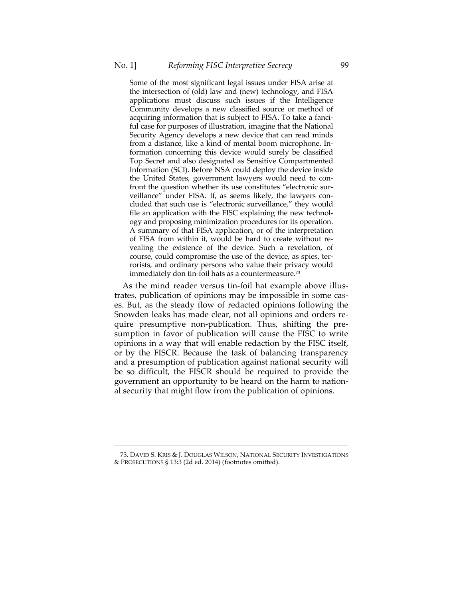Some of the most significant legal issues under FISA arise at the intersection of (old) law and (new) technology, and FISA applications must discuss such issues if the Intelligence Community develops a new classified source or method of acquiring information that is subject to FISA. To take a fanciful case for purposes of illustration, imagine that the National Security Agency develops a new device that can read minds from a distance, like a kind of mental boom microphone. Information concerning this device would surely be classified Top Secret and also designated as Sensitive Compartmented Information (SCI). Before NSA could deploy the device inside the United States, government lawyers would need to confront the question whether its use constitutes "electronic surveillance" under FISA. If, as seems likely, the lawyers concluded that such use is "electronic surveillance," they would file an application with the FISC explaining the new technology and proposing minimization procedures for its operation. A summary of that FISA application, or of the interpretation of FISA from within it, would be hard to create without revealing the existence of the device. Such a revelation, of course, could compromise the use of the device, as spies, terrorists, and ordinary persons who value their privacy would immediately don tin-foil hats as a countermeasure.73

As the mind reader versus tin-foil hat example above illustrates, publication of opinions may be impossible in some cases. But, as the steady flow of redacted opinions following the Snowden leaks has made clear, not all opinions and orders require presumptive non-publication. Thus, shifting the presumption in favor of publication will cause the FISC to write opinions in a way that will enable redaction by the FISC itself, or by the FISCR. Because the task of balancing transparency and a presumption of publication against national security will be so difficult, the FISCR should be required to provide the government an opportunity to be heard on the harm to national security that might flow from the publication of opinions.

 <sup>73.</sup> DAVID S. KRIS & J. DOUGLAS WILSON, NATIONAL SECURITY INVESTIGATIONS & PROSECUTIONS § 13:3 (2d ed. 2014) (footnotes omitted).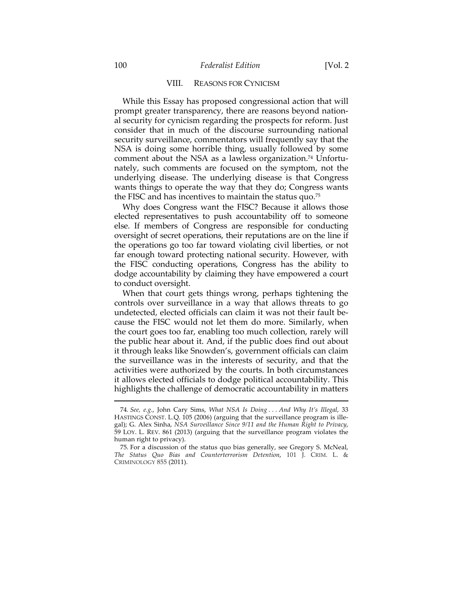#### VIII. REASONS FOR CYNICISM

While this Essay has proposed congressional action that will prompt greater transparency, there are reasons beyond national security for cynicism regarding the prospects for reform. Just consider that in much of the discourse surrounding national security surveillance, commentators will frequently say that the NSA is doing some horrible thing, usually followed by some comment about the NSA as a lawless organization.<sup>74</sup> Unfortunately, such comments are focused on the symptom, not the underlying disease. The underlying disease is that Congress wants things to operate the way that they do; Congress wants the FISC and has incentives to maintain the status quo.75

Why does Congress want the FISC? Because it allows those elected representatives to push accountability off to someone else. If members of Congress are responsible for conducting oversight of secret operations, their reputations are on the line if the operations go too far toward violating civil liberties, or not far enough toward protecting national security. However, with the FISC conducting operations, Congress has the ability to dodge accountability by claiming they have empowered a court to conduct oversight.

When that court gets things wrong, perhaps tightening the controls over surveillance in a way that allows threats to go undetected, elected officials can claim it was not their fault because the FISC would not let them do more. Similarly, when the court goes too far, enabling too much collection, rarely will the public hear about it. And, if the public does find out about it through leaks like Snowden's, government officials can claim the surveillance was in the interests of security, and that the activities were authorized by the courts. In both circumstances it allows elected officials to dodge political accountability. This highlights the challenge of democratic accountability in matters

<sup>74</sup>*. See, e.g.*, John Cary Sims, *What NSA Is Doing . . . And Why It's Illegal*, 33 HASTINGS CONST. L.Q. 105 (2006) (arguing that the surveillance program is illegal); G. Alex Sinha, *NSA Surveillance Since 9/11 and the Human Right to Privacy*, 59 LOY. L. REV. 861 (2013) (arguing that the surveillance program violates the human right to privacy).

 <sup>75.</sup> For a discussion of the status quo bias generally, see Gregory S. McNeal, *The Status Quo Bias and Counterterrorism Detention*, 101 J. CRIM. L. & CRIMINOLOGY 855 (2011).